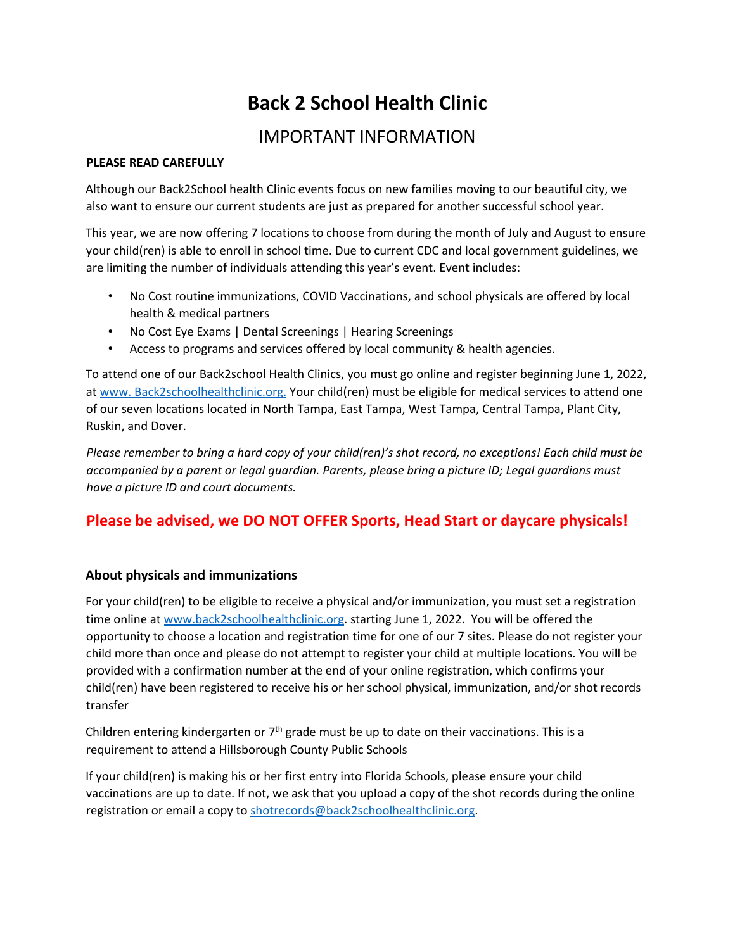# **Back 2 School Health Clinic**

# IMPORTANT INFORMATION

#### **PLEASE READ CAREFULLY**

Although our Back2School health Clinic events focus on new families moving to our beautiful city, we also want to ensure our current students are just as prepared for another successful school year.

This year, we are now offering 7 locations to choose from during the month of July and August to ensure your child(ren) is able to enroll in school time. Due to current CDC and local government guidelines, we are limiting the number of individuals attending this year's event. Event includes:

- No Cost routine immunizations, COVID Vaccinations, and school physicals are offered by local health & medical partners
- No Cost Eye Exams | Dental Screenings | Hearing Screenings
- Access to programs and services offered by local community & health agencies.

To attend one of our Back2school Health Clinics, you must go online and register beginning June 1, 2022, at www. Back2schoolhealthclinic.org. Your child(ren) must be eligible for medical services to attend one of our seven locations located in North Tampa, East Tampa, West Tampa, Central Tampa, Plant City, Ruskin, and Dover.

*Please remember to bring a hard copy of your child(ren)'s shot record, no exceptions! Each child must be accompanied by a parent or legal guardian. Parents, please bring a picture ID; Legal guardians must have a picture ID and court documents.* 

### **Please be advised, we DO NOT OFFER Sports, Head Start or daycare physicals!**

#### **About physicals and immunizations**

For your child(ren) to be eligible to receive a physical and/or immunization, you must set a registration time online at www.back2schoolhealthclinic.org. starting June 1, 2022. You will be offered the opportunity to choose a location and registration time for one of our 7 sites. Please do not register your child more than once and please do not attempt to register your child at multiple locations. You will be provided with a confirmation number at the end of your online registration, which confirms your child(ren) have been registered to receive his or her school physical, immunization, and/or shot records transfer

Children entering kindergarten or  $7<sup>th</sup>$  grade must be up to date on their vaccinations. This is a requirement to attend a Hillsborough County Public Schools

If your child(ren) is making his or her first entry into Florida Schools, please ensure your child vaccinations are up to date. If not, we ask that you upload a copy of the shot records during the online registration or email a copy to shotrecords@back2schoolhealthclinic.org.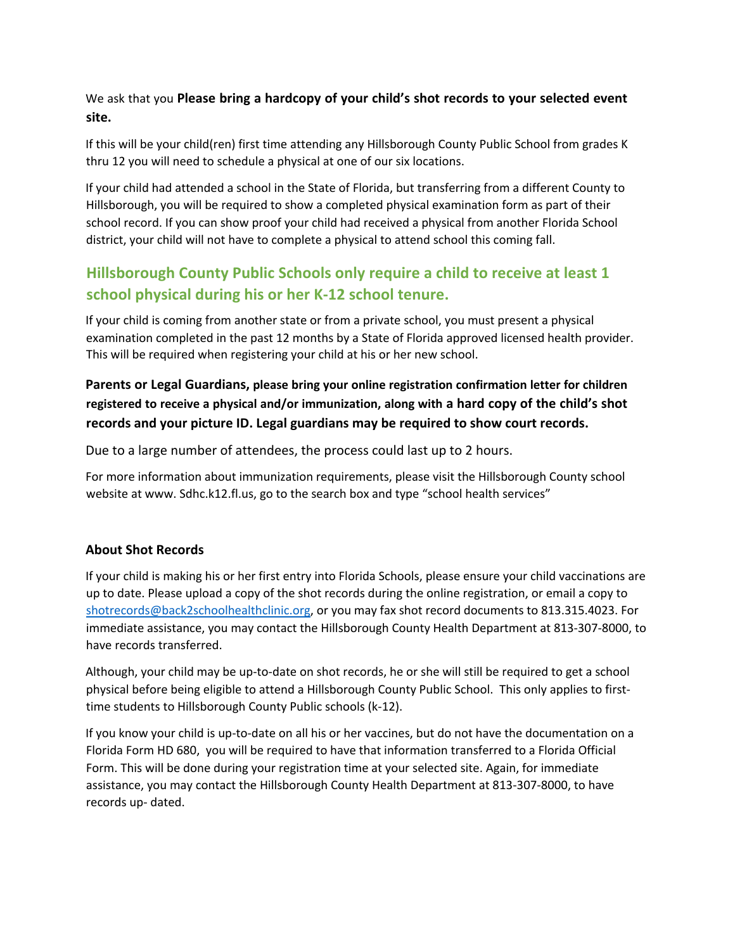We ask that you **Please bring a hardcopy of your child's shot records to your selected event site.**

If this will be your child(ren) first time attending any Hillsborough County Public School from grades K thru 12 you will need to schedule a physical at one of our six locations.

If your child had attended a school in the State of Florida, but transferring from a different County to Hillsborough, you will be required to show a completed physical examination form as part of their school record. If you can show proof your child had received a physical from another Florida School district, your child will not have to complete a physical to attend school this coming fall.

## **Hillsborough County Public Schools only require a child to receive at least 1 school physical during his or her K-12 school tenure.**

If your child is coming from another state or from a private school, you must present a physical examination completed in the past 12 months by a State of Florida approved licensed health provider. This will be required when registering your child at his or her new school.

### **Parents or Legal Guardians, please bring your online registration confirmation letter for children registered to receive a physical and/or immunization, along with a hard copy of the child's shot records and your picture ID. Legal guardians may be required to show court records.**

Due to a large number of attendees, the process could last up to 2 hours.

For more information about immunization requirements, please visit the Hillsborough County school website at www. Sdhc.k12.fl.us, go to the search box and type "school health services"

#### **About Shot Records**

If your child is making his or her first entry into Florida Schools, please ensure your child vaccinations are up to date. Please upload a copy of the shot records during the online registration, or email a copy to shotrecords@back2schoolhealthclinic.org, or you may fax shot record documents to 813.315.4023. For immediate assistance, you may contact the Hillsborough County Health Department at 813-307-8000, to have records transferred.

Although, your child may be up-to-date on shot records, he or she will still be required to get a school physical before being eligible to attend a Hillsborough County Public School. This only applies to firsttime students to Hillsborough County Public schools (k-12).

If you know your child is up-to-date on all his or her vaccines, but do not have the documentation on a Florida Form HD 680, you will be required to have that information transferred to a Florida Official Form. This will be done during your registration time at your selected site. Again, for immediate assistance, you may contact the Hillsborough County Health Department at 813-307-8000, to have records up- dated.